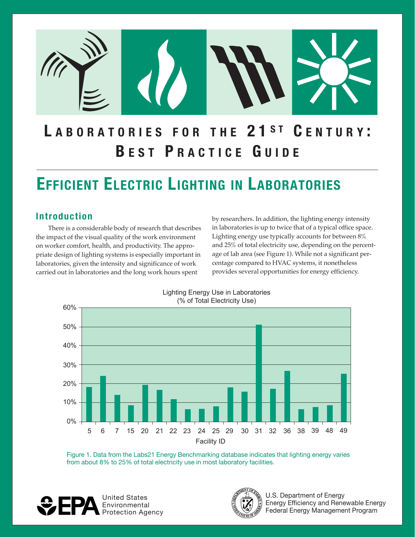

# LABORATORIES FOR THE 21ST CENTURY: **B E S T P R A C T I C E G U I D E**

# **EFFICIENT ELECTRIC LIGHTING IN LABORATORIES**

the impact of the visual quality of the work environment Lighting energy use typically accounts for between  $8\%$ on worker comfort, health, and productivity. The appro- and 25% of total electricity use, depending on the percentpriate design of lighting systems is especially important in age of lab area (see Figure 1). While not a significant perlaboratories, given the intensity and significance of work centage compared to HVAC systems, it nonetheless carried out in laboratories and the long work hours spent provides several opportunities for energy efficiency.

**Introduction** by researchers. In addition, the lighting energy intensity There is a considerable body of research that describes in laboratories is up to twice that of a typical office space.



Figure 1. Data from the Labs21 Energy Benchmarking database indicates that lighting energy varies from about 8% to 25% of total electricity use in most laboratory facilities.





United States **National States** National States Assembly that the set of the States of Energy Energy Efficiency and Renewable Energy<br>Protection Agency<br>Protection Agency Federal Energy Management Program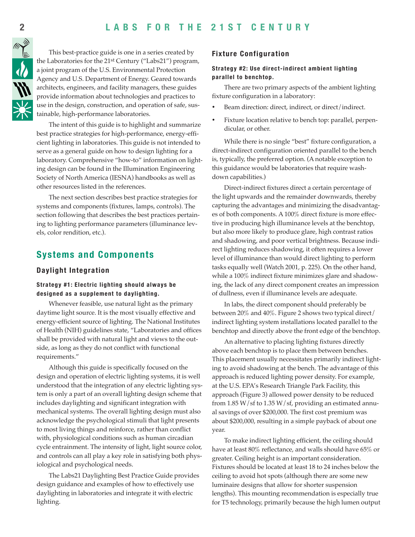#### 2 LABS FOR THE 21ST CENTURY **2 1 S T C E N T U R Y**



This best-practice guide is one in a series created by the Laboratories for the 21<sup>st</sup> Century ("Labs21") program, a joint program of the U.S. Environmental Protection Agency and U.S. Department of Energy. Geared towards architects, engineers, and facility managers, these guides provide information about technologies and practices to use in the design, construction, and operation of safe, sustainable, high-performance laboratories.

The intent of this guide is to highlight and summarize best practice strategies for high-performance, energy-efficient lighting in laboratories. This guide is not intended to serve as a general guide on how to design lighting for a laboratory. Comprehensive "how-to" information on lighting design can be found in the Illumination Engineering Society of North America (IESNA) handbooks as well as other resources listed in the references.

The next section describes best practice strategies for systems and components (fixtures, lamps, controls). The section following that describes the best practices pertaining to lighting performance parameters (illuminance levels, color rendition, etc.).

#### **Systems and Components**

#### **Daylight Integration**

#### **Strategy #1: Electric lighting should always be designed as a supplement to daylighting.**

Whenever feasible, use natural light as the primary daytime light source. It is the most visually effective and energy-efficient source of lighting. The National Institutes of Health (NIH) guidelines state, "Laboratories and offices shall be provided with natural light and views to the outside, as long as they do not conflict with functional requirements."

Although this guide is specifically focused on the design and operation of electric lighting systems, it is well understood that the integration of any electric lighting system is only a part of an overall lighting design scheme that includes daylighting and significant integration with mechanical systems. The overall lighting design must also acknowledge the psychological stimuli that light presents to most living things and reinforce, rather than conflict with, physiological conditions such as human circadian cycle entrainment. The intensity of light, light source color, and controls can all play a key role in satisfying both physiological and psychological needs.

The Labs21 Daylighting Best Practice Guide provides design guidance and examples of how to effectively use daylighting in laboratories and integrate it with electric lighting.

#### **Fixture Configuration**

#### **Strategy #2: Use direct-indirect ambient lighting parallel to benchtop.**

There are two primary aspects of the ambient lighting fixture configuration in a laboratory:

- Beam direction: direct, indirect, or direct/indirect.
- Fixture location relative to bench top: parallel, perpendicular, or other.

While there is no single "best" fixture configuration, a direct-indirect configuration oriented parallel to the bench is, typically, the preferred option. (A notable exception to this guidance would be laboratories that require washdown capabilities.)

Direct-indirect fixtures direct a certain percentage of the light upwards and the remainder downwards, thereby capturing the advantages and minimizing the disadvantages of both components. A 100% direct fixture is more effective in producing high illuminance levels at the benchtop, but also more likely to produce glare, high contrast ratios and shadowing, and poor vertical brightness. Because indirect lighting reduces shadowing, it often requires a lower level of illuminance than would direct lighting to perform tasks equally well (Watch 2001, p. 225). On the other hand, while a 100% indirect fixture minimizes glare and shadowing, the lack of any direct component creates an impression of dullness, even if illuminance levels are adequate.

In labs, the direct component should preferably be between 20% and 40%. Figure 2 shows two typical direct/ indirect lighting system installations located parallel to the benchtop and directly above the front edge of the benchtop.

An alternative to placing lighting fixtures directly above each benchtop is to place them between benches. This placement usually necessitates primarily indirect lighting to avoid shadowing at the bench. The advantage of this approach is reduced lighting power density. For example, at the U.S. EPA's Research Triangle Park Facility, this approach (Figure 3) allowed power density to be reduced from  $1.85 W/sf$  to  $1.35 W/sf$ , providing an estimated annual savings of over \$200,000. The first cost premium was about \$200,000, resulting in a simple payback of about one year.

To make indirect lighting efficient, the ceiling should have at least 80% reflectance, and walls should have 65% or greater. Ceiling height is an important consideration. Fixtures should be located at least 18 to 24 inches below the ceiling to avoid hot spots (although there are some new luminaire designs that allow for shorter suspension lengths). This mounting recommendation is especially true for T5 technology, primarily because the high lumen output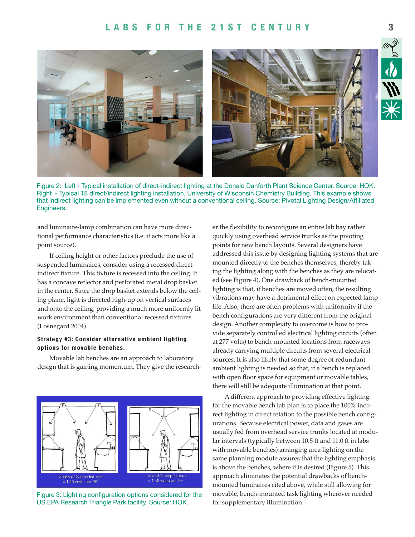#### LABS FOR THE 21ST CENTURY 3



Figure 2: Left - Typical installation of direct-indirect lighting at the Donald Danforth Plant Science Center. Source: HOK. Right - Typical T8 direct/indirect lighting installation, University of Wisconsin Chemistry Building. This example shows that indirect lighting can be implemented even without a conventional ceiling. Source: Pivotal Lighting Design/Affiliated Engineers.

and luminaire-lamp combination can have more directional performance characteristics (i.e. it acts more like a point source).

If ceiling height or other factors preclude the use of suspended luminaires, consider using a recessed directindirect fixture. This fixture is recessed into the ceiling. It has a concave reflector and perforated metal drop basket in the center. Since the drop basket extends below the ceiling plane, light is directed high-up on vertical surfaces and onto the ceiling, providing a much more uniformly lit work environment than conventional recessed fixtures (Losnegard 2004).

#### **Strategy #3: Consider alternative ambient lighting options for movable benches.**

Movable lab benches are an approach to laboratory design that is gaining momentum. They give the research-



Figure 3: Lighting configuration options considered for the US EPA Research Triangle Park facility. Source: HOK.

er the flexibility to reconfigure an entire lab bay rather quickly using overhead service trunks as the pivoting points for new bench layouts. Several designers have addressed this issue by designing lighting systems that are mounted directly to the benches themselves, thereby taking the lighting along with the benches as they are relocated (see Figure 4). One drawback of bench-mounted lighting is that, if benches are moved often, the resulting vibrations may have a detrimental effect on expected lamp life. Also, there are often problems with uniformity if the bench configurations are very different from the original design. Another complexity to overcome is how to provide separately controlled electrical lighting circuits (often at 277 volts) to bench-mounted locations from raceways already carrying multiple circuits from several electrical sources. It is also likely that some degree of redundant ambient lighting is needed so that, if a bench is replaced with open floor space for equipment or movable tables, there will still be adequate illumination at that point.

A different approach to providing effective lighting for the movable bench lab plan is to place the 100% indirect lighting in direct relation to the possible bench configurations. Because electrical power, data and gases are usually fed from overhead service trunks located at modular intervals (typically between 10.5 ft and 11.0 ft in labs with movable benches) arranging area lighting on the same planning module assures that the lighting emphasis is above the benches, where it is desired (Figure 5). This approach eliminates the potential drawbacks of benchmounted luminaires cited above, while still allowing for movable, bench-mounted task lighting wherever needed for supplementary illumination.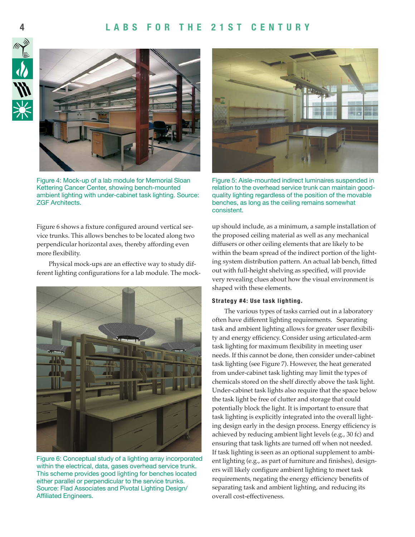#### **4 L A B S F O R T H E 2 1 S T C E N T U R Y L A B S F O R T H E 2 1 S T C E N T U R Y 5**





Figure 4: Mock-up of a lab module for Memorial Sloan Kettering Cancer Center, showing bench-mounted ambient lighting with under-cabinet task lighting. Source: ZGF Architects.

Figure 6 shows a fixture configured around vertical service trunks. This allows benches to be located along two perpendicular horizontal axes, thereby affording even more flexibility.

Physical mock-ups are an effective way to study different lighting configurations for a lab module. The mock-



Figure 6: Conceptual study of a lighting array incorporated within the electrical, data, gases overhead service trunk. This scheme provides good lighting for benches located either parallel or perpendicular to the service trunks. Source: Flad Associates and Pivotal Lighting Design/ Affiliated Engineers.



Figure 5: Aisle-mounted indirect luminaires suspended in relation to the overhead service trunk can maintain goodquality lighting regardless of the position of the movable benches, as long as the ceiling remains somewhat consistent.

up should include, as a minimum, a sample installation of the proposed ceiling material as well as any mechanical diffusers or other ceiling elements that are likely to be within the beam spread of the indirect portion of the lighting system distribution pattern. An actual lab bench, fitted out with full-height shelving as specified, will provide very revealing clues about how the visual environment is shaped with these elements.

#### **Strategy #4: Use task lighting.**

The various types of tasks carried out in a laboratory often have different lighting requirements. Separating task and ambient lighting allows for greater user flexibility and energy efficiency. Consider using articulated-arm task lighting for maximum flexibility in meeting user needs. If this cannot be done, then consider under-cabinet task lighting (see Figure 7). However, the heat generated from under-cabinet task lighting may limit the types of chemicals stored on the shelf directly above the task light. Under-cabinet task lights also require that the space below the task light be free of clutter and storage that could potentially block the light. It is important to ensure that task lighting is explicitly integrated into the overall lighting design early in the design process. Energy efficiency is achieved by reducing ambient light levels (e.g., 30 fc) and ensuring that task lights are turned off when not needed. If task lighting is seen as an optional supplement to ambient lighting (e.g., as part of furniture and finishes), designers will likely configure ambient lighting to meet task requirements, negating the energy efficiency benefits of separating task and ambient lighting, and reducing its overall cost-effectiveness.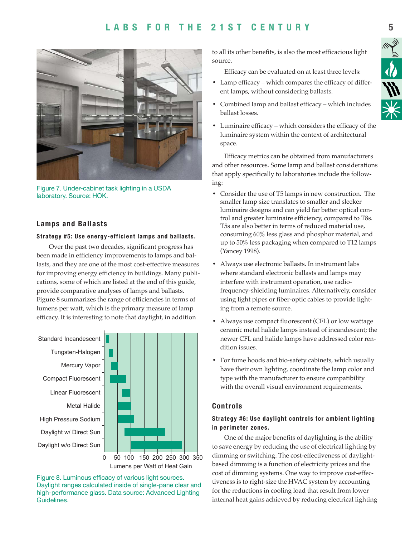### LABS FOR THE 21ST CENTURY 5



Figure 7. Under-cabinet task lighting in a USDA laboratory. Source: HOK.

#### **Lamps and Ballasts**

#### **Strategy #5: Use energy-efficient lamps and ballasts.**

Over the past two decades, significant progress has been made in efficiency improvements to lamps and ballasts, and they are one of the most cost-effective measures for improving energy efficiency in buildings. Many publications, some of which are listed at the end of this guide, provide comparative analyses of lamps and ballasts. Figure 8 summarizes the range of efficiencies in terms of lumens per watt, which is the primary measure of lamp efficacy. It is interesting to note that daylight, in addition



Lumens per Watt of Heat Gain

Figure 8. Luminous efficacy of various light sources. Daylight ranges calculated inside of single-pane clear and high-performance glass. Data source: Advanced Lighting Guidelines.

to all its other benefits, is also the most efficacious light source.

Efficacy can be evaluated on at least three levels:

- Lamp efficacy which compares the efficacy of different lamps, without considering ballasts.
- Combined lamp and ballast efficacy which includes ballast losses.
- Luminaire efficacy which considers the efficacy of the luminaire system within the context of architectural space.

Efficacy metrics can be obtained from manufacturers and other resources. Some lamp and ballast considerations that apply specifically to laboratories include the following:

- Consider the use of T5 lamps in new construction. The smaller lamp size translates to smaller and sleeker luminaire designs and can yield far better optical control and greater luminaire efficiency, compared to T8s. T5s are also better in terms of reduced material use, consuming 60% less glass and phosphor material, and up to 50% less packaging when compared to T12 lamps (Yancey 1998).
- Always use electronic ballasts. In instrument labs where standard electronic ballasts and lamps may interfere with instrument operation, use radiofrequency-shielding luminaires. Alternatively, consider using light pipes or fiber-optic cables to provide lighting from a remote source.
- Always use compact fluorescent (CFL) or low wattage ceramic metal halide lamps instead of incandescent; the newer CFL and halide lamps have addressed color rendition issues.
- For fume hoods and bio-safety cabinets, which usually have their own lighting, coordinate the lamp color and type with the manufacturer to ensure compatibility with the overall visual environment requirements.

#### **Controls**

#### **Strategy #6: Use daylight controls for ambient lighting in perimeter zones.**

One of the major benefits of daylighting is the ability to save energy by reducing the use of electrical lighting by dimming or switching. The cost-effectiveness of daylightbased dimming is a function of electricity prices and the cost of dimming systems. One way to improve cost-effectiveness is to right-size the HVAC system by accounting for the reductions in cooling load that result from lower internal heat gains achieved by reducing electrical lighting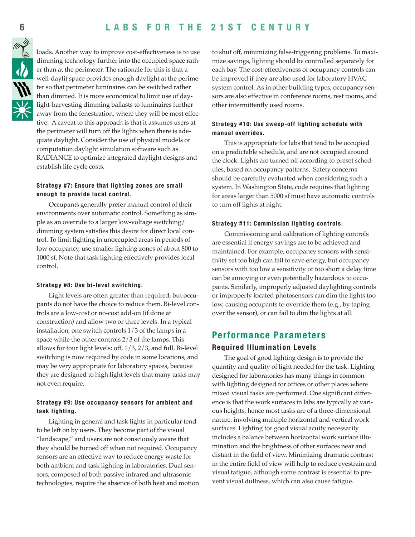#### 6 LABS FOR THE 21ST CENTURY **2 1 S T C E N T U R Y**



loads. Another way to improve cost-effectiveness is to use dimming technology further into the occupied space rather than at the perimeter. The rationale for this is that a well-daylit space provides enough daylight at the perimeter so that perimeter luminaires can be switched rather than dimmed. It is more economical to limit use of daylight-harvesting dimming ballasts to luminaires further away from the fenestration, where they will be most effective. A caveat to this approach is that it assumes users at the perimeter will turn off the lights when there is adequate daylight. Consider the use of physical models or computation daylight simulation software such as RADIANCE to optimize integrated daylight designs and establish life cycle costs.

#### **Strategy #7: Ensure that lighting zones are small enough to provide local control.**

Occupants generally prefer manual control of their environments over automatic control. Something as simple as an override to a larger low-voltage switching/ dimming system satisfies this desire for direct local control. To limit lighting in unoccupied areas in periods of low occupancy, use smaller lighting zones of about 800 to 1000 sf. Note that task lighting effectively provides local control.

#### **Strategy #8: Use bi-level switching.**

Light levels are often greater than required, but occupants do not have the choice to reduce them. Bi-level controls are a low-cost or no-cost add-on (if done at construction) and allow two or three levels. In a typical installation, one switch controls 1/3 of the lamps in a space while the other controls 2/3 of the lamps. This allows for four light levels: off, 1/3, 2/3, and full. Bi-level switching is now required by code in some locations, and may be very appropriate for laboratory spaces, because they are designed to high light levels that many tasks may not even require.

#### **Strategy #9: Use occupancy sensors for ambient and task lighting.**

Lighting in general and task lights in particular tend to be left on by users. They become part of the visual "landscape," and users are not consciously aware that they should be turned off when not required. Occupancy sensors are an effective way to reduce energy waste for both ambient and task lighting in laboratories. Dual sensors, composed of both passive infrared and ultrasonic technologies, require the absence of both heat and motion to shut off, minimizing false-triggering problems. To maximize savings, lighting should be controlled separately for each bay. The cost-effectiveness of occupancy controls can be improved if they are also used for laboratory HVAC system control. As in other building types, occupancy sensors are also effective in conference rooms, rest rooms, and other intermittently used rooms.

#### **Strategy #10: Use sweep-off lighting schedule with manual overrides.**

This is appropriate for labs that tend to be occupied on a predictable schedule, and are not occupied around the clock. Lights are turned off according to preset schedules, based on occupancy patterns. Safety concerns should be carefully evaluated when considering such a system. In Washington State, code requires that lighting for areas larger than 5000 sf must have automatic controls to turn off lights at night.

#### **Strategy #11: Commission lighting controls.**

Commissioning and calibration of lighting controls are essential if energy savings are to be achieved and maintained. For example, occupancy sensors with sensitivity set too high can fail to save energy, but occupancy sensors with too low a sensitivity or too short a delay time can be annoying or even potentially hazardous to occupants. Similarly, improperly adjusted daylighting controls or improperly located photosensors can dim the lights too low, causing occupants to override them (e.g., by taping over the sensor), or can fail to dim the lights at all.

#### **Performance Parameters**

#### **Required Illumination Levels**

The goal of good lighting design is to provide the quantity and quality of light needed for the task. Lighting designed for laboratories has many things in common with lighting designed for offices or other places where mixed visual tasks are performed. One significant difference is that the work surfaces in labs are typically at various heights, hence most tasks are of a three-dimensional nature, involving multiple horizontal and vertical work surfaces. Lighting for good visual acuity necessarily includes a balance between horizontal work surface illumination and the brightness of other surfaces near and distant in the field of view. Minimizing dramatic contrast in the entire field of view will help to reduce eyestrain and visual fatigue, although some contrast is essential to prevent visual dullness, which can also cause fatigue.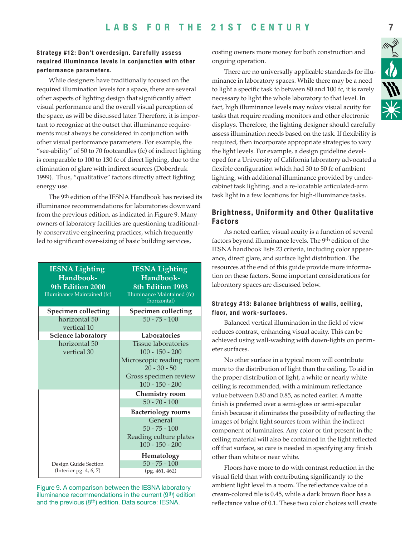#### Strategy #12: Don't overdesign. Carefully assess required illuminance levels in conjunction with other performance parameters.

While designers have traditionally focused on the required illumination levels for a space, there are several other aspects of lighting design that significantly affect visual performance and the overall visual perception of the space, as will be discussed later. Therefore, it is important to recognize at the outset that illuminance requirements must always be considered in conjunction with other visual performance parameters. For example, the "see-ability" of 50 to 70 footcandles (fc) of indirect lighting is comparable to 100 to 130 fc of direct lighting, due to the elimination of glare with indirect sources (Doberdruk 1999). Thus, "qualitative" factors directly affect lighting energy use.

The 9<sup>th</sup> edition of the IESNA Handbook has revised its illuminance recommendations for laboratories downward from the previous edition, as indicated in Figure 9. Many owners of laboratory facilities are questioning traditionally conservative engineering practices, which frequently led to significant over-sizing of basic building services,

| <b>IESNA Lighting</b><br>Handbook-<br>9th Edition 2000<br>Illuminance Maintained (fc) | <b>IESNA Lighting</b><br>Handbook-<br>8th Edition 1993<br>Illuminance Maintained (fc)<br>(horizontal)                                       |
|---------------------------------------------------------------------------------------|---------------------------------------------------------------------------------------------------------------------------------------------|
| <b>Specimen collecting</b>                                                            | <b>Specimen collecting</b>                                                                                                                  |
| horizontal 50<br>vertical 10                                                          | $50 - 75 - 100$                                                                                                                             |
| <b>Science laboratory</b>                                                             | Laboratories                                                                                                                                |
| horizontal 50<br>vertical 30                                                          | <b>Tissue laboratories</b><br>$100 - 150 - 200$<br>Microscopic reading room<br>$20 - 30 - 50$<br>Gross specimen review<br>$100 - 150 - 200$ |
|                                                                                       | Chemistry room                                                                                                                              |
|                                                                                       | $50 - 70 - 100$                                                                                                                             |
|                                                                                       | <b>Bacteriology rooms</b><br>General<br>$50 - 75 - 100$<br>Reading culture plates<br>$100 - 150 - 200$                                      |
| Design Guide Section<br>(Interior pg. 4, 6, 7)                                        | Hematology<br>$50 - 75 - 100$<br>(pg. 461, 462)                                                                                             |

Figure 9. A comparison between the IESNA laboratory illuminance recommendations in the current (9<sup>th</sup>) edition and the previous (8th) edition. Data source: IESNA.

costing owners more money for both construction and ongoing operation.

There are no universally applicable standards for illuminance in laboratory spaces. While there may be a need to light a specific task to between 80 and 100 fc, it is rarely necessary to light the whole laboratory to that level. In fact, high illuminance levels may reduce visual acuity for tasks that require reading monitors and other electronic displays. Therefore, the lighting designer should carefully assess illumination needs based on the task. If flexibility is required, then incorporate appropriate strategies to vary the light levels. For example, a design guideline developed for a University of California laboratory advocated a flexible configuration which had 30 to 50 fc of ambient lighting, with additional illuminance provided by undercabinet task lighting, and a re-locatable articulated-arm task light in a few locations for high-illuminance tasks.

#### **Brightness, Uniformity and Other Qualitative Factors**

As noted earlier, visual acuity is a function of several factors beyond illuminance levels. The 9<sup>th</sup> edition of the IESNA handbook lists 23 criteria, including color appearance, direct glare, and surface light distribution. The resources at the end of this guide provide more information on these factors. Some important considerations for laboratory spaces are discussed below.

#### Strategy #13: Balance brightness of walls, ceiling, floor, and work-surfaces.

Balanced vertical illumination in the field of view reduces contrast, enhancing visual acuity. This can be achieved using wall-washing with down-lights on perimeter surfaces.

No other surface in a typical room will contribute more to the distribution of light than the ceiling. To aid in the proper distribution of light, a white or nearly white ceiling is recommended, with a minimum reflectance value between 0.80 and 0.85, as noted earlier. A matte finish is preferred over a semi-gloss or semi-specular finish because it eliminates the possibility of reflecting the images of bright light sources from within the indirect component of luminaires. Any color or tint present in the ceiling material will also be contained in the light reflected off that surface, so care is needed in specifying any finish other than white or near white.

Floors have more to do with contrast reduction in the visual field than with contributing significantly to the ambient light level in a room. The reflectance value of a cream-colored tile is 0.45, while a dark brown floor has a reflectance value of 0.1. These two color choices will create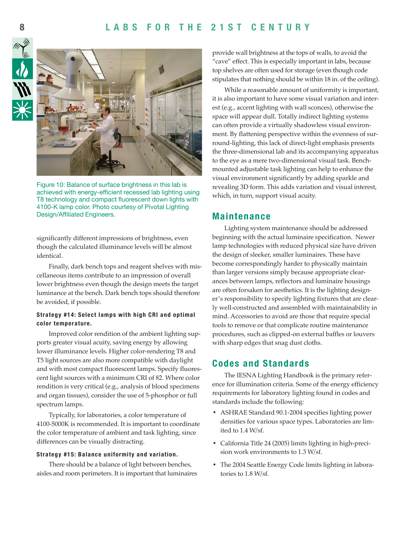#### **8 L A B S F O R T H E 2 1 S T C E N T U R Y L A B S F O R T H E 2 1 S T C E N T U R Y 9**





Figure 10: Balance of surface brightness in this lab is achieved with energy-efficient recessed lab lighting using T8 technology and compact fluorescent down lights with 4100-K lamp color. Photo courtesy of Pivotal Lighting Design/Affiliated Engineers.

significantly different impressions of brightness, even though the calculated illuminance levels will be almost identical.

Finally, dark bench tops and reagent shelves with miscellaneous items contribute to an impression of overall lower brightness even though the design meets the target luminance at the bench. Dark bench tops should therefore be avoided, if possible.

#### **Strategy #14: Select lamps with high CRI and optimal color temperature.**

Improved color rendition of the ambient lighting supports greater visual acuity, saving energy by allowing lower illuminance levels. Higher color-rendering T8 and T5 light sources are also more compatible with daylight and with most compact fluorescent lamps. Specify fluorescent light sources with a minimum CRI of 82. Where color rendition is very critical (e.g., analysis of blood specimens and organ tissues), consider the use of 5-phosphor or full spectrum lamps.

Typically, for laboratories, a color temperature of 4100-5000K is recommended. It is important to coordinate the color temperature of ambient and task lighting, since differences can be visually distracting.

#### **Strategy #15: Balance uniformity and variation.**

There should be a balance of light between benches, aisles and room perimeters. It is important that luminaires provide wall brightness at the tops of walls, to avoid the "cave" effect. This is especially important in labs, because top shelves are often used for storage (even though code stipulates that nothing should be within 18 in. of the ceiling).

While a reasonable amount of uniformity is important, it is also important to have some visual variation and interest (e.g., accent lighting with wall sconces), otherwise the space will appear dull. Totally indirect lighting systems can often provide a virtually shadowless visual environment. By flattening perspective within the evenness of surround-lighting, this lack of direct-light emphasis presents the three-dimensional lab and its accompanying apparatus to the eye as a mere two-dimensional visual task. Benchmounted adjustable task lighting can help to enhance the visual environment significantly by adding sparkle and revealing 3D form. This adds variation and visual interest, which, in turn, support visual acuity.

#### **Maintenance**

Lighting system maintenance should be addressed beginning with the actual luminaire specification. Newer lamp technologies with reduced physical size have driven the design of sleeker, smaller luminaires. These have become correspondingly harder to physically maintain than larger versions simply because appropriate clearances between lamps, reflectors and luminaire housings are often forsaken for aesthetics. It is the lighting designer's responsibility to specify lighting fixtures that are clearly well-constructed and assembled with maintainability in mind. Accessories to avoid are those that require special tools to remove or that complicate routine maintenance procedures, such as clipped-on external baffles or louvers with sharp edges that snag dust cloths.

#### **Codes and Standards**

The IESNA Lighting Handbook is the primary reference for illumination criteria. Some of the energy efficiency requirements for laboratory lighting found in codes and standards include the following:

- ASHRAE Standard 90.1-2004 specifies lighting power densities for various space types. Laboratories are limited to 1.4 W/sf.
- California Title 24 (2005) limits lighting in high-precision work environments to 1.3 W/sf.
- The 2004 Seattle Energy Code limits lighting in laboratories to 1.8 W/sf.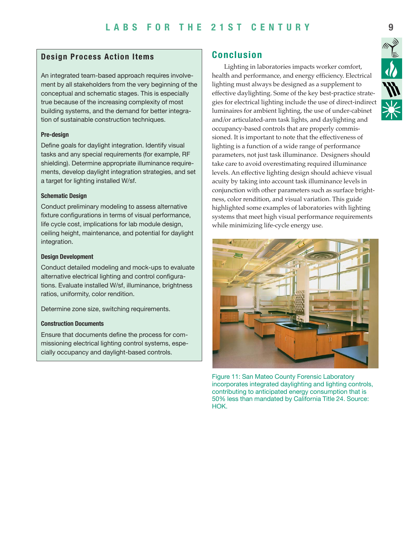#### **Design Process Action Items**

An integrated team-based approach requires involvement by all stakeholders from the very beginning of the conceptual and schematic stages. This is especially true because of the increasing complexity of most building systems, and the demand for better integration of sustainable construction techniques.

#### **Pre-design**

Define goals for daylight integration. Identify visual tasks and any special requirements (for example, RF shielding). Determine appropriate illuminance requirements, develop daylight integration strategies, and set a target for lighting installed W/sf.

#### **Schematic Design**

Conduct preliminary modeling to assess alternative fixture configurations in terms of visual performance, life cycle cost, implications for lab module design, ceiling height, maintenance, and potential for daylight integration.

#### **Design Development**

Conduct detailed modeling and mock-ups to evaluate alternative electrical lighting and control configurations. Evaluate installed W/sf, illuminance, brightness ratios, uniformity, color rendition.

Determine zone size, switching requirements.

#### **Construction Documents**

Ensure that documents define the process for commissioning electrical lighting control systems, especially occupancy and daylight-based controls.

#### **Conclusion**

Lighting in laboratories impacts worker comfort, health and performance, and energy efficiency. Electrical lighting must always be designed as a supplement to effective daylighting. Some of the key best-practice strategies for electrical lighting include the use of direct-indirect luminaires for ambient lighting, the use of under-cabinet and/or articulated-arm task lights, and daylighting and occupancy-based controls that are properly commissioned. It is important to note that the effectiveness of lighting is a function of a wide range of performance parameters, not just task illuminance. Designers should take care to avoid overestimating required illuminance levels. An effective lighting design should achieve visual acuity by taking into account task illuminance levels in conjunction with other parameters such as surface brightness, color rendition, and visual variation. This guide highlighted some examples of laboratories with lighting systems that meet high visual performance requirements while minimizing life-cycle energy use.



Figure 11: San Mateo County Forensic Laboratory incorporates integrated daylighting and lighting controls, contributing to anticipated energy consumption that is 50% less than mandated by California Title 24. Source: HOK.